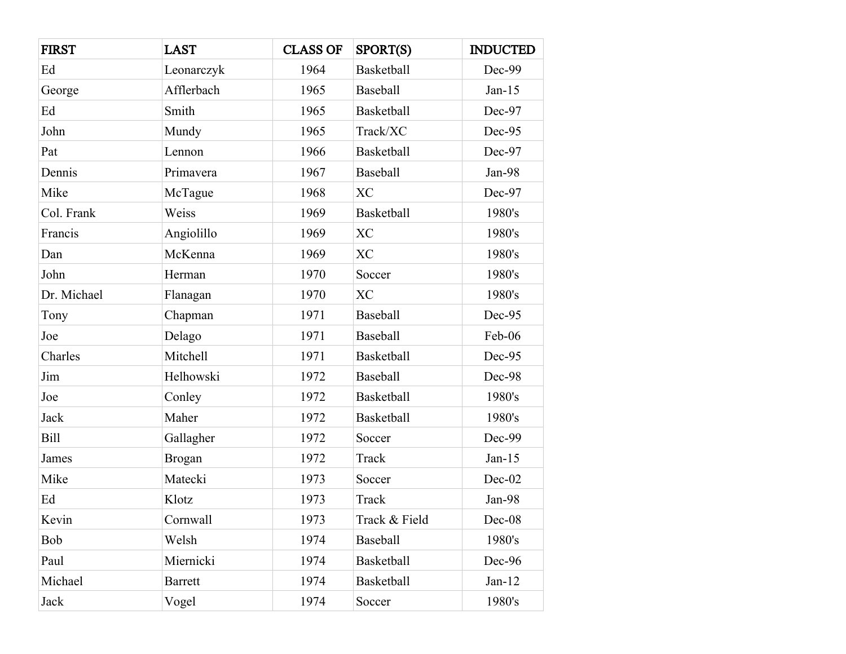| <b>FIRST</b> | <b>LAST</b>    | <b>CLASS OF</b> | SPORT(S)          | <b>INDUCTED</b> |
|--------------|----------------|-----------------|-------------------|-----------------|
| Ed           | Leonarczyk     | 1964            | <b>Basketball</b> | Dec-99          |
| George       | Afflerbach     | 1965            | Baseball          | $Jan-15$        |
| Ed           | Smith          | 1965            | <b>Basketball</b> | Dec-97          |
| John         | Mundy          | 1965            | Track/XC          | Dec-95          |
| Pat          | Lennon         | 1966            | Basketball        | Dec-97          |
| Dennis       | Primavera      | 1967            | Baseball          | Jan-98          |
| Mike         | McTague        | 1968            | <b>XC</b>         | Dec-97          |
| Col. Frank   | Weiss          | 1969            | Basketball        | 1980's          |
| Francis      | Angiolillo     | 1969            | <b>XC</b>         | 1980's          |
| Dan          | McKenna        | 1969            | <b>XC</b>         | 1980's          |
| John         | Herman         | 1970            | Soccer            | 1980's          |
| Dr. Michael  | Flanagan       | 1970            | <b>XC</b>         | 1980's          |
| Tony         | Chapman        | 1971            | Baseball          | Dec-95          |
| Joe          | Delago         | 1971            | Baseball          | Feb-06          |
| Charles      | Mitchell       | 1971            | <b>Basketball</b> | Dec-95          |
| Jim          | Helhowski      | 1972            | Baseball          | Dec-98          |
| Joe          | Conley         | 1972            | Basketball        | 1980's          |
| Jack         | Maher          | 1972            | <b>Basketball</b> | 1980's          |
| <b>Bill</b>  | Gallagher      | 1972            | Soccer            | Dec-99          |
| James        | <b>Brogan</b>  | 1972            | Track             | $Jan-15$        |
| Mike         | Matecki        | 1973            | Soccer            | Dec-02          |
| Ed           | Klotz          | 1973            | Track             | Jan-98          |
| Kevin        | Cornwall       | 1973            | Track & Field     | Dec-08          |
| Bob          | Welsh          | 1974            | Baseball          | 1980's          |
| Paul         | Miernicki      | 1974            | Basketball        | Dec-96          |
| Michael      | <b>Barrett</b> | 1974            | Basketball        | $Jan-12$        |
| Jack         | Vogel          | 1974            | Soccer            | 1980's          |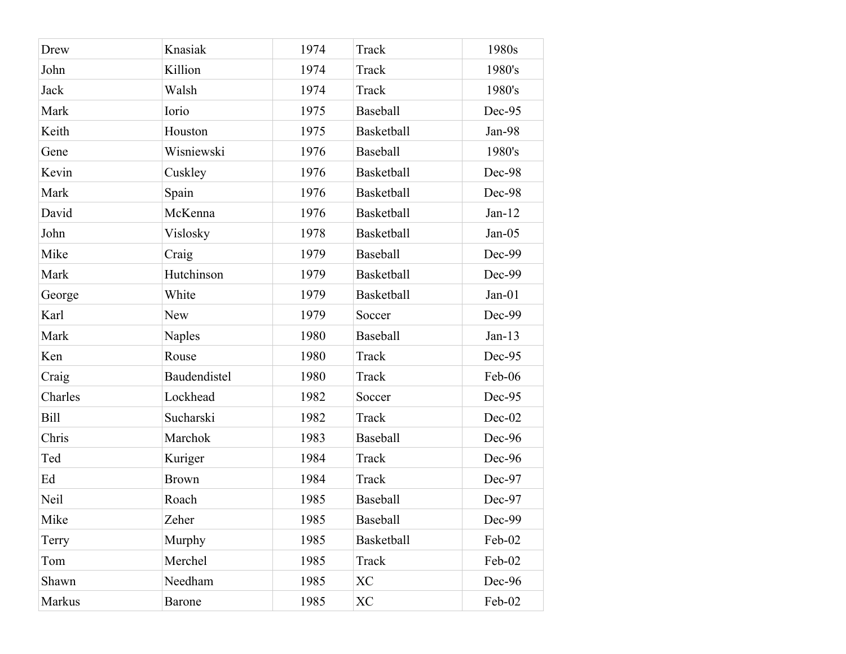| Drew        | Knasiak       | 1974 | Track             | 1980s    |
|-------------|---------------|------|-------------------|----------|
| John        | Killion       | 1974 | Track             | 1980's   |
| Jack        | Walsh         | 1974 | Track             | 1980's   |
| Mark        | Iorio         | 1975 | Baseball          | Dec-95   |
| Keith       | Houston       | 1975 | <b>Basketball</b> | Jan-98   |
| Gene        | Wisniewski    | 1976 | Baseball          | 1980's   |
| Kevin       | Cuskley       | 1976 | <b>Basketball</b> | Dec-98   |
| Mark        | Spain         | 1976 | <b>Basketball</b> | Dec-98   |
| David       | McKenna       | 1976 | <b>Basketball</b> | $Jan-12$ |
| John        | Vislosky      | 1978 | Basketball        | $Jan-05$ |
| Mike        | Craig         | 1979 | Baseball          | Dec-99   |
| Mark        | Hutchinson    | 1979 | <b>Basketball</b> | Dec-99   |
| George      | White         | 1979 | <b>Basketball</b> | $Jan-01$ |
| Karl        | <b>New</b>    | 1979 | Soccer            | Dec-99   |
| Mark        | <b>Naples</b> | 1980 | Baseball          | $Jan-13$ |
| Ken         | Rouse         | 1980 | Track             | Dec-95   |
| Craig       | Baudendistel  | 1980 | Track             | Feb-06   |
| Charles     | Lockhead      | 1982 | Soccer            | Dec-95   |
| <b>Bill</b> | Sucharski     | 1982 | Track             | Dec-02   |
| Chris       | Marchok       | 1983 | Baseball          | Dec-96   |
| Ted         | Kuriger       | 1984 | Track             | Dec-96   |
| Ed          | <b>Brown</b>  | 1984 | Track             | Dec-97   |
| Neil        | Roach         | 1985 | <b>Baseball</b>   | Dec-97   |
| Mike        | Zeher         | 1985 | Baseball          | Dec-99   |
| Terry       | Murphy        | 1985 | <b>Basketball</b> | Feb-02   |
| Tom         | Merchel       | 1985 | Track             | Feb-02   |
| Shawn       | Needham       | 1985 | <b>XC</b>         | Dec-96   |
| Markus      | <b>Barone</b> | 1985 | XC                | Feb-02   |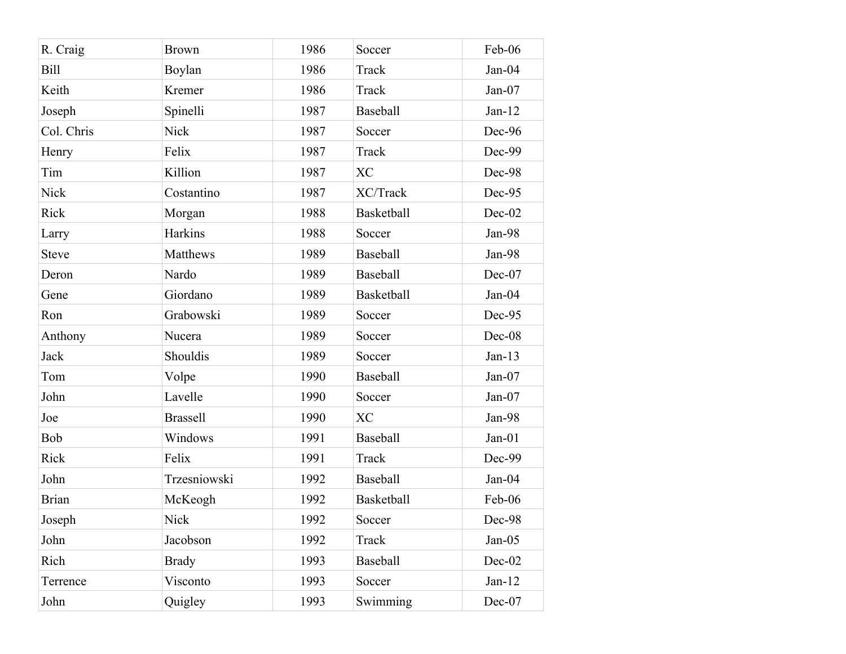| R. Craig     | <b>Brown</b>    | 1986 | Soccer            | Feb-06   |
|--------------|-----------------|------|-------------------|----------|
| <b>Bill</b>  | Boylan          | 1986 | Track             | Jan-04   |
| Keith        | Kremer          | 1986 | Track             | Jan-07   |
| Joseph       | Spinelli        | 1987 | Baseball          | $Jan-12$ |
| Col. Chris   | <b>Nick</b>     | 1987 | Soccer            | Dec-96   |
| Henry        | Felix           | 1987 | Track             | Dec-99   |
| Tim          | Killion         | 1987 | <b>XC</b>         | Dec-98   |
| <b>Nick</b>  | Costantino      | 1987 | XC/Track          | Dec-95   |
| Rick         | Morgan          | 1988 | <b>Basketball</b> | Dec-02   |
| Larry        | Harkins         | 1988 | Soccer            | Jan-98   |
| <b>Steve</b> | Matthews        | 1989 | Baseball          | Jan-98   |
| Deron        | Nardo           | 1989 | Baseball          | Dec-07   |
| Gene         | Giordano        | 1989 | <b>Basketball</b> | Jan-04   |
| Ron          | Grabowski       | 1989 | Soccer            | Dec-95   |
| Anthony      | Nucera          | 1989 | Soccer            | Dec-08   |
| Jack         | Shouldis        | 1989 | Soccer            | $Jan-13$ |
| Tom          | Volpe           | 1990 | Baseball          | Jan-07   |
| John         | Lavelle         | 1990 | Soccer            | Jan-07   |
| Joe          | <b>Brassell</b> | 1990 | <b>XC</b>         | Jan-98   |
| Bob          | Windows         | 1991 | Baseball          | $Jan-01$ |
| Rick         | Felix           | 1991 | Track             | Dec-99   |
| John         | Trzesniowski    | 1992 | Baseball          | $Jan-04$ |
| <b>Brian</b> | McKeogh         | 1992 | <b>Basketball</b> | Feb-06   |
| Joseph       | <b>Nick</b>     | 1992 | Soccer            | Dec-98   |
| John         | Jacobson        | 1992 | Track             | $Jan-05$ |
| Rich         | <b>Brady</b>    | 1993 | Baseball          | Dec-02   |
| Terrence     | Visconto        | 1993 | Soccer            | $Jan-12$ |
| John         | Quigley         | 1993 | Swimming          | Dec-07   |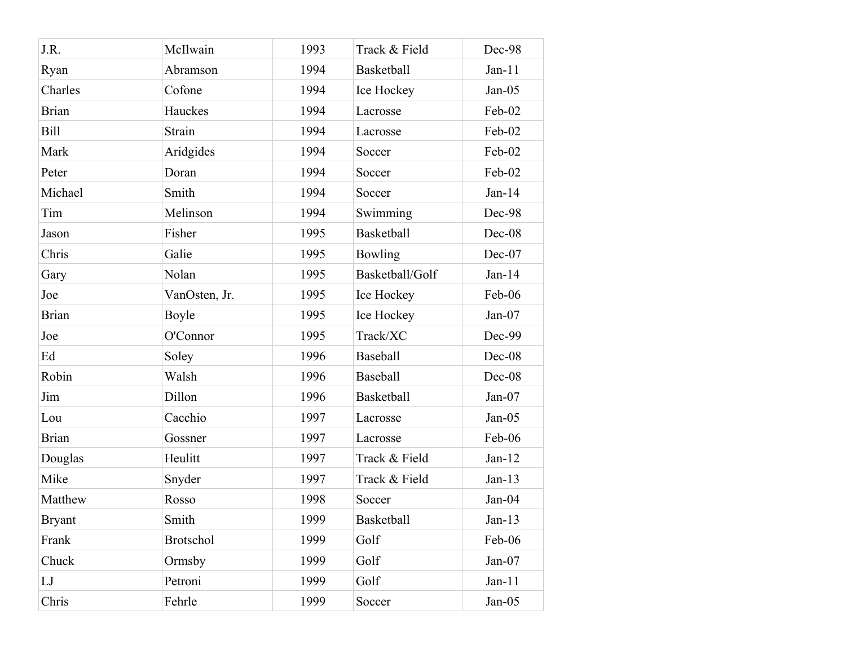| J.R.          | McIlwain         | 1993 | Track & Field     | Dec-98   |
|---------------|------------------|------|-------------------|----------|
| Ryan          | Abramson         | 1994 | <b>Basketball</b> | $Jan-11$ |
| Charles       | Cofone           | 1994 | Ice Hockey        | $Jan-05$ |
| <b>Brian</b>  | Hauckes          | 1994 | Lacrosse          | Feb-02   |
| <b>Bill</b>   | Strain           | 1994 | Lacrosse          | Feb-02   |
| Mark          | Aridgides        | 1994 | Soccer            | Feb-02   |
| Peter         | Doran            | 1994 | Soccer            | Feb-02   |
| Michael       | Smith            | 1994 | Soccer            | $Jan-14$ |
| Tim           | Melinson         | 1994 | Swimming          | Dec-98   |
| Jason         | Fisher           | 1995 | <b>Basketball</b> | Dec-08   |
| Chris         | Galie            | 1995 | <b>Bowling</b>    | Dec-07   |
| Gary          | Nolan            | 1995 | Basketball/Golf   | $Jan-14$ |
| Joe           | VanOsten, Jr.    | 1995 | Ice Hockey        | Feb-06   |
| <b>Brian</b>  | Boyle            | 1995 | Ice Hockey        | Jan-07   |
| Joe           | O'Connor         | 1995 | Track/XC          | Dec-99   |
| Ed            | Soley            | 1996 | Baseball          | Dec-08   |
| Robin         | Walsh            | 1996 | Baseball          | Dec-08   |
| Jim           | Dillon           | 1996 | <b>Basketball</b> | Jan-07   |
| Lou           | Cacchio          | 1997 | Lacrosse          | $Jan-05$ |
| <b>Brian</b>  | Gossner          | 1997 | Lacrosse          | Feb-06   |
| Douglas       | Heulitt          | 1997 | Track & Field     | $Jan-12$ |
| Mike          | Snyder           | 1997 | Track & Field     | $Jan-13$ |
| Matthew       | Rosso            | 1998 | Soccer            | Jan-04   |
| <b>Bryant</b> | Smith            | 1999 | Basketball        | $Jan-13$ |
| Frank         | <b>Brotschol</b> | 1999 | Golf              | Feb-06   |
| Chuck         | Ormsby           | 1999 | Golf              | Jan-07   |
| LJ            | Petroni          | 1999 | Golf              | $Jan-11$ |
| Chris         | Fehrle           | 1999 | Soccer            | $Jan-05$ |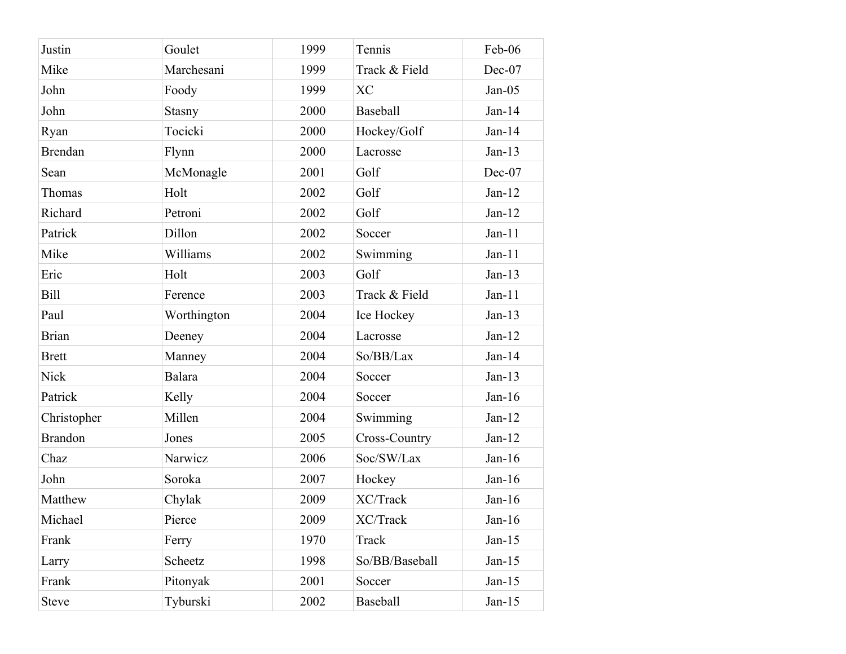| Goulet<br>1999<br>Justin<br>Tennis<br>Mike<br>Marchesani<br>1999<br>Track & Field<br>John<br>Foody<br>1999<br><b>XC</b><br>Baseball<br>John<br>2000<br><b>Stasny</b><br>Tocicki<br>2000<br>Hockey/Golf<br>Ryan<br><b>Brendan</b><br>2000<br>Flynn<br>Lacrosse<br>McMonagle<br>2001<br>Golf<br>Sean<br>Thomas<br>Holt<br>2002<br>Golf<br>Golf<br>Richard<br>Petroni<br>2002<br>Patrick<br>Dillon<br>2002<br>Soccer<br>Mike<br>Williams<br>2002<br>Swimming<br>Eric<br>Holt<br>2003<br>Golf<br><b>Bill</b><br>Track & Field<br>Ference<br>2003<br>Paul<br>Worthington<br>2004<br>Ice Hockey<br>2004<br><b>Brian</b><br>Deeney<br>Lacrosse<br>2004<br>So/BB/Lax<br><b>Brett</b><br>Manney<br><b>Nick</b><br><b>Balara</b><br>2004<br>Soccer<br>Patrick<br>2004<br>Kelly<br>Soccer<br>Millen<br>Christopher<br>2004<br>Swimming<br><b>Brandon</b><br>2005<br>Cross-Country<br>Jones<br>Narwicz<br>Soc/SW/Lax<br>Chaz<br>2006<br>John<br>Soroka<br>2007<br>Hockey<br>XC/Track<br>Matthew<br>Chylak<br>2009<br>Pierce<br>2009<br>XC/Track<br>Michael<br>1970<br>Frank<br>Track<br>Ferry<br>1998<br>So/BB/Baseball<br>Scheetz<br>Larry<br>2001<br>Frank<br>Pitonyak<br>Soccer<br><b>Steve</b><br>2002<br>Baseball |          |  |           |
|------------------------------------------------------------------------------------------------------------------------------------------------------------------------------------------------------------------------------------------------------------------------------------------------------------------------------------------------------------------------------------------------------------------------------------------------------------------------------------------------------------------------------------------------------------------------------------------------------------------------------------------------------------------------------------------------------------------------------------------------------------------------------------------------------------------------------------------------------------------------------------------------------------------------------------------------------------------------------------------------------------------------------------------------------------------------------------------------------------------------------------------------------------------------------------------------------------|----------|--|-----------|
|                                                                                                                                                                                                                                                                                                                                                                                                                                                                                                                                                                                                                                                                                                                                                                                                                                                                                                                                                                                                                                                                                                                                                                                                            |          |  | Feb-06    |
|                                                                                                                                                                                                                                                                                                                                                                                                                                                                                                                                                                                                                                                                                                                                                                                                                                                                                                                                                                                                                                                                                                                                                                                                            |          |  | Dec-07    |
|                                                                                                                                                                                                                                                                                                                                                                                                                                                                                                                                                                                                                                                                                                                                                                                                                                                                                                                                                                                                                                                                                                                                                                                                            |          |  | $Jan-05$  |
|                                                                                                                                                                                                                                                                                                                                                                                                                                                                                                                                                                                                                                                                                                                                                                                                                                                                                                                                                                                                                                                                                                                                                                                                            |          |  | $Jan-14$  |
|                                                                                                                                                                                                                                                                                                                                                                                                                                                                                                                                                                                                                                                                                                                                                                                                                                                                                                                                                                                                                                                                                                                                                                                                            |          |  | $Jan-14$  |
|                                                                                                                                                                                                                                                                                                                                                                                                                                                                                                                                                                                                                                                                                                                                                                                                                                                                                                                                                                                                                                                                                                                                                                                                            |          |  | $Jan-13$  |
|                                                                                                                                                                                                                                                                                                                                                                                                                                                                                                                                                                                                                                                                                                                                                                                                                                                                                                                                                                                                                                                                                                                                                                                                            |          |  | Dec-07    |
|                                                                                                                                                                                                                                                                                                                                                                                                                                                                                                                                                                                                                                                                                                                                                                                                                                                                                                                                                                                                                                                                                                                                                                                                            |          |  | $Jan-12$  |
|                                                                                                                                                                                                                                                                                                                                                                                                                                                                                                                                                                                                                                                                                                                                                                                                                                                                                                                                                                                                                                                                                                                                                                                                            |          |  | $Jan-12$  |
|                                                                                                                                                                                                                                                                                                                                                                                                                                                                                                                                                                                                                                                                                                                                                                                                                                                                                                                                                                                                                                                                                                                                                                                                            |          |  | $Jan-11$  |
|                                                                                                                                                                                                                                                                                                                                                                                                                                                                                                                                                                                                                                                                                                                                                                                                                                                                                                                                                                                                                                                                                                                                                                                                            |          |  | $Jan-11$  |
|                                                                                                                                                                                                                                                                                                                                                                                                                                                                                                                                                                                                                                                                                                                                                                                                                                                                                                                                                                                                                                                                                                                                                                                                            |          |  | $Jan-13$  |
|                                                                                                                                                                                                                                                                                                                                                                                                                                                                                                                                                                                                                                                                                                                                                                                                                                                                                                                                                                                                                                                                                                                                                                                                            |          |  | $Jan-11$  |
|                                                                                                                                                                                                                                                                                                                                                                                                                                                                                                                                                                                                                                                                                                                                                                                                                                                                                                                                                                                                                                                                                                                                                                                                            |          |  | $Jan-13$  |
|                                                                                                                                                                                                                                                                                                                                                                                                                                                                                                                                                                                                                                                                                                                                                                                                                                                                                                                                                                                                                                                                                                                                                                                                            |          |  | $Jan-12$  |
|                                                                                                                                                                                                                                                                                                                                                                                                                                                                                                                                                                                                                                                                                                                                                                                                                                                                                                                                                                                                                                                                                                                                                                                                            |          |  | $Jan-14$  |
|                                                                                                                                                                                                                                                                                                                                                                                                                                                                                                                                                                                                                                                                                                                                                                                                                                                                                                                                                                                                                                                                                                                                                                                                            |          |  | $Jan-13$  |
|                                                                                                                                                                                                                                                                                                                                                                                                                                                                                                                                                                                                                                                                                                                                                                                                                                                                                                                                                                                                                                                                                                                                                                                                            |          |  | $Jan-16$  |
|                                                                                                                                                                                                                                                                                                                                                                                                                                                                                                                                                                                                                                                                                                                                                                                                                                                                                                                                                                                                                                                                                                                                                                                                            |          |  | $Jan-12$  |
|                                                                                                                                                                                                                                                                                                                                                                                                                                                                                                                                                                                                                                                                                                                                                                                                                                                                                                                                                                                                                                                                                                                                                                                                            |          |  | $Jan-12$  |
|                                                                                                                                                                                                                                                                                                                                                                                                                                                                                                                                                                                                                                                                                                                                                                                                                                                                                                                                                                                                                                                                                                                                                                                                            |          |  | $Jan-16$  |
|                                                                                                                                                                                                                                                                                                                                                                                                                                                                                                                                                                                                                                                                                                                                                                                                                                                                                                                                                                                                                                                                                                                                                                                                            |          |  | Jan- $16$ |
|                                                                                                                                                                                                                                                                                                                                                                                                                                                                                                                                                                                                                                                                                                                                                                                                                                                                                                                                                                                                                                                                                                                                                                                                            |          |  | Jan- $16$ |
|                                                                                                                                                                                                                                                                                                                                                                                                                                                                                                                                                                                                                                                                                                                                                                                                                                                                                                                                                                                                                                                                                                                                                                                                            |          |  | $Jan-16$  |
|                                                                                                                                                                                                                                                                                                                                                                                                                                                                                                                                                                                                                                                                                                                                                                                                                                                                                                                                                                                                                                                                                                                                                                                                            |          |  | $Jan-15$  |
|                                                                                                                                                                                                                                                                                                                                                                                                                                                                                                                                                                                                                                                                                                                                                                                                                                                                                                                                                                                                                                                                                                                                                                                                            |          |  | $Jan-15$  |
|                                                                                                                                                                                                                                                                                                                                                                                                                                                                                                                                                                                                                                                                                                                                                                                                                                                                                                                                                                                                                                                                                                                                                                                                            |          |  | Jan-15    |
|                                                                                                                                                                                                                                                                                                                                                                                                                                                                                                                                                                                                                                                                                                                                                                                                                                                                                                                                                                                                                                                                                                                                                                                                            | Tyburski |  | $Jan-15$  |